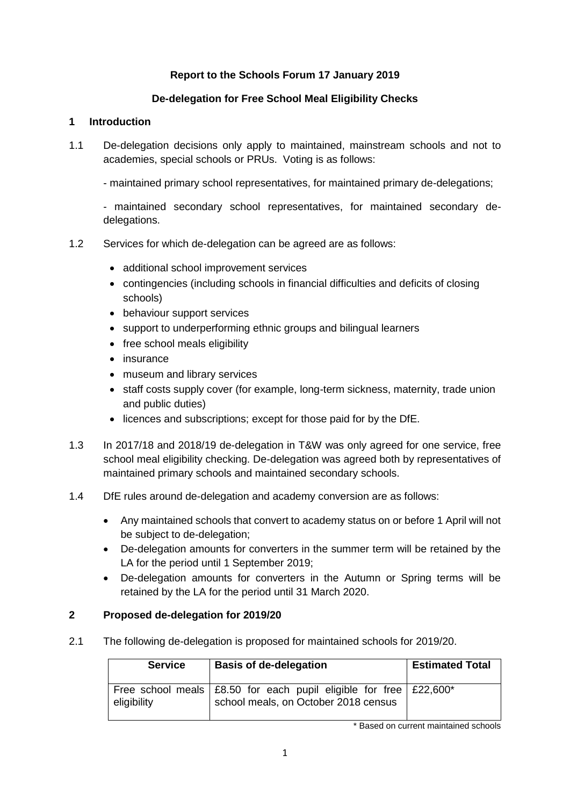## **Report to the Schools Forum 17 January 2019**

## **De-delegation for Free School Meal Eligibility Checks**

## **1 Introduction**

1.1 De-delegation decisions only apply to maintained, mainstream schools and not to academies, special schools or PRUs. Voting is as follows:

- maintained primary school representatives, for maintained primary de-delegations;

- maintained secondary school representatives, for maintained secondary dedelegations.

- 1.2 Services for which de-delegation can be agreed are as follows:
	- additional school improvement services
	- contingencies (including schools in financial difficulties and deficits of closing schools)
	- behaviour support services
	- support to underperforming ethnic groups and bilingual learners
	- free school meals eligibility
	- insurance
	- museum and library services
	- staff costs supply cover (for example, long-term sickness, maternity, trade union and public duties)
	- licences and subscriptions; except for those paid for by the DfE.
- 1.3 In 2017/18 and 2018/19 de-delegation in T&W was only agreed for one service, free school meal eligibility checking. De-delegation was agreed both by representatives of maintained primary schools and maintained secondary schools.
- 1.4 DfE rules around de-delegation and academy conversion are as follows:
	- Any maintained schools that convert to academy status on or before 1 April will not be subject to de-delegation;
	- De-delegation amounts for converters in the summer term will be retained by the LA for the period until 1 September 2019;
	- De-delegation amounts for converters in the Autumn or Spring terms will be retained by the LA for the period until 31 March 2020.

## **2 Proposed de-delegation for 2019/20**

2.1 The following de-delegation is proposed for maintained schools for 2019/20.

| <b>Service</b> | <b>Basis of de-delegation</b>                                                                                 | <b>Estimated Total</b> |
|----------------|---------------------------------------------------------------------------------------------------------------|------------------------|
| eligibility    | Free school meals   £8.50 for each pupil eligible for free   £22,600*<br>school meals, on October 2018 census |                        |

\* Based on current maintained schools